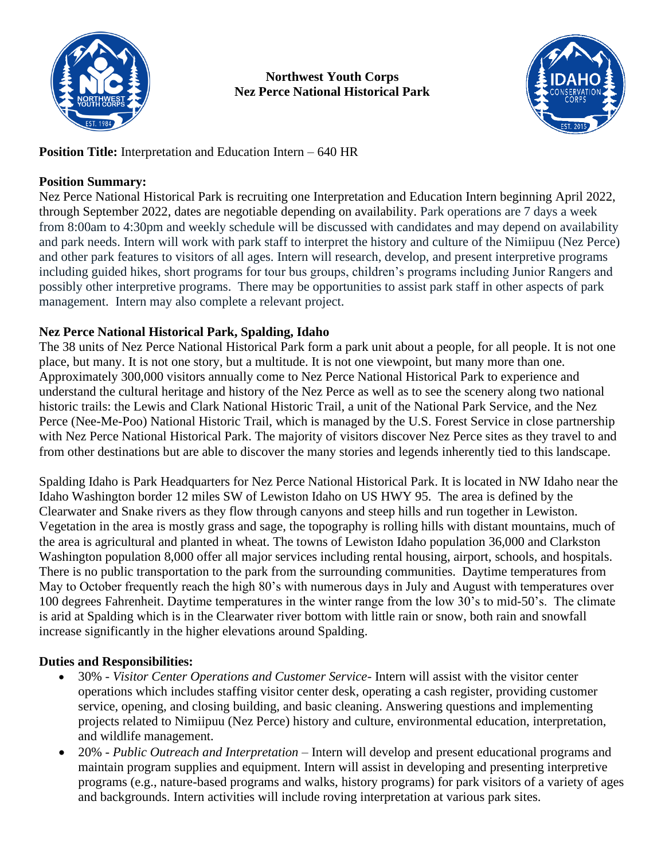

**Northwest Youth Corps Nez Perce National Historical Park**



**Position Title:** Interpretation and Education Intern – 640 HR

## **Position Summary:**

Nez Perce National Historical Park is recruiting one Interpretation and Education Intern beginning April 2022, through September 2022, dates are negotiable depending on availability. Park operations are 7 days a week from 8:00am to 4:30pm and weekly schedule will be discussed with candidates and may depend on availability and park needs. Intern will work with park staff to interpret the history and culture of the Nimiipuu (Nez Perce) and other park features to visitors of all ages. Intern will research, develop, and present interpretive programs including guided hikes, short programs for tour bus groups, children's programs including Junior Rangers and possibly other interpretive programs. There may be opportunities to assist park staff in other aspects of park management. Intern may also complete a relevant project.

## **Nez Perce National Historical Park, Spalding, Idaho**

The 38 units of Nez Perce National Historical Park form a park unit about a people, for all people. It is not one place, but many. It is not one story, but a multitude. It is not one viewpoint, but many more than one. Approximately 300,000 visitors annually come to Nez Perce National Historical Park to experience and understand the cultural heritage and history of the Nez Perce as well as to see the scenery along two national historic trails: the Lewis and Clark National Historic Trail, a unit of the National Park Service, and the Nez Perce (Nee-Me-Poo) National Historic Trail, which is managed by the U.S. Forest Service in close partnership with Nez Perce National Historical Park. The majority of visitors discover Nez Perce sites as they travel to and from other destinations but are able to discover the many stories and legends inherently tied to this landscape.

Spalding Idaho is Park Headquarters for Nez Perce National Historical Park. It is located in NW Idaho near the Idaho Washington border 12 miles SW of Lewiston Idaho on US HWY 95. The area is defined by the Clearwater and Snake rivers as they flow through canyons and steep hills and run together in Lewiston. Vegetation in the area is mostly grass and sage, the topography is rolling hills with distant mountains, much of the area is agricultural and planted in wheat. The towns of Lewiston Idaho population 36,000 and Clarkston Washington population 8,000 offer all major services including rental housing, airport, schools, and hospitals. There is no public transportation to the park from the surrounding communities. Daytime temperatures from May to October frequently reach the high 80's with numerous days in July and August with temperatures over 100 degrees Fahrenheit. Daytime temperatures in the winter range from the low 30's to mid-50's. The climate is arid at Spalding which is in the Clearwater river bottom with little rain or snow, both rain and snowfall increase significantly in the higher elevations around Spalding.

## **Duties and Responsibilities:**

- 30% *Visitor Center Operations and Customer Service* Intern will assist with the visitor center operations which includes staffing visitor center desk, operating a cash register, providing customer service, opening, and closing building, and basic cleaning. Answering questions and implementing projects related to Nimiipuu (Nez Perce) history and culture, environmental education, interpretation, and wildlife management.
- 20% *Public Outreach and Interpretation* Intern will develop and present educational programs and maintain program supplies and equipment. Intern will assist in developing and presenting interpretive programs (e.g., nature-based programs and walks, history programs) for park visitors of a variety of ages and backgrounds. Intern activities will include roving interpretation at various park sites.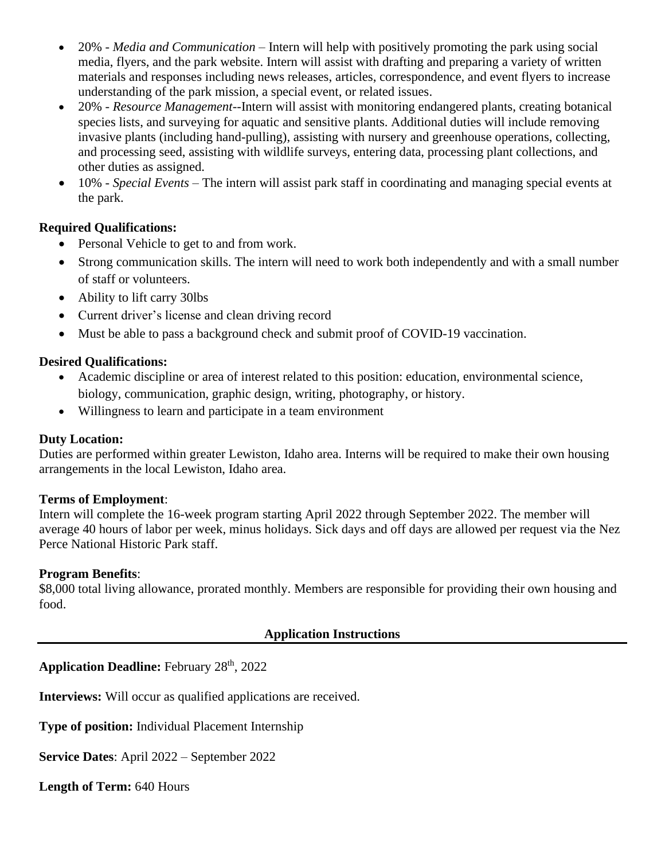- 20% *Media and Communication* Intern will help with positively promoting the park using social media, flyers, and the park website. Intern will assist with drafting and preparing a variety of written materials and responses including news releases, articles, correspondence, and event flyers to increase understanding of the park mission, a special event, or related issues.
- 20% *Resource Management*--Intern will assist with monitoring endangered plants, creating botanical species lists, and surveying for aquatic and sensitive plants. Additional duties will include removing invasive plants (including hand-pulling), assisting with nursery and greenhouse operations, collecting, and processing seed, assisting with wildlife surveys, entering data, processing plant collections, and other duties as assigned.
- 10% *Special Events* The intern will assist park staff in coordinating and managing special events at the park.

### **Required Qualifications:**

- Personal Vehicle to get to and from work.
- Strong communication skills. The intern will need to work both independently and with a small number of staff or volunteers.
- Ability to lift carry 30lbs
- Current driver's license and clean driving record
- Must be able to pass a background check and submit proof of COVID-19 vaccination.

### **Desired Qualifications:**

- Academic discipline or area of interest related to this position: education, environmental science, biology, communication, graphic design, writing, photography, or history.
- Willingness to learn and participate in a team environment

### **Duty Location:**

Duties are performed within greater Lewiston, Idaho area. Interns will be required to make their own housing arrangements in the local Lewiston, Idaho area.

### **Terms of Employment**:

Intern will complete the 16-week program starting April 2022 through September 2022. The member will average 40 hours of labor per week, minus holidays. Sick days and off days are allowed per request via the Nez Perce National Historic Park staff.

### **Program Benefits**:

\$8,000 total living allowance, prorated monthly. Members are responsible for providing their own housing and food.

### **Application Instructions**

Application Deadline: February 28<sup>th</sup>, 2022

**Interviews:** Will occur as qualified applications are received.

**Type of position:** Individual Placement Internship

**Service Dates**: April 2022 – September 2022

**Length of Term:** 640 Hours